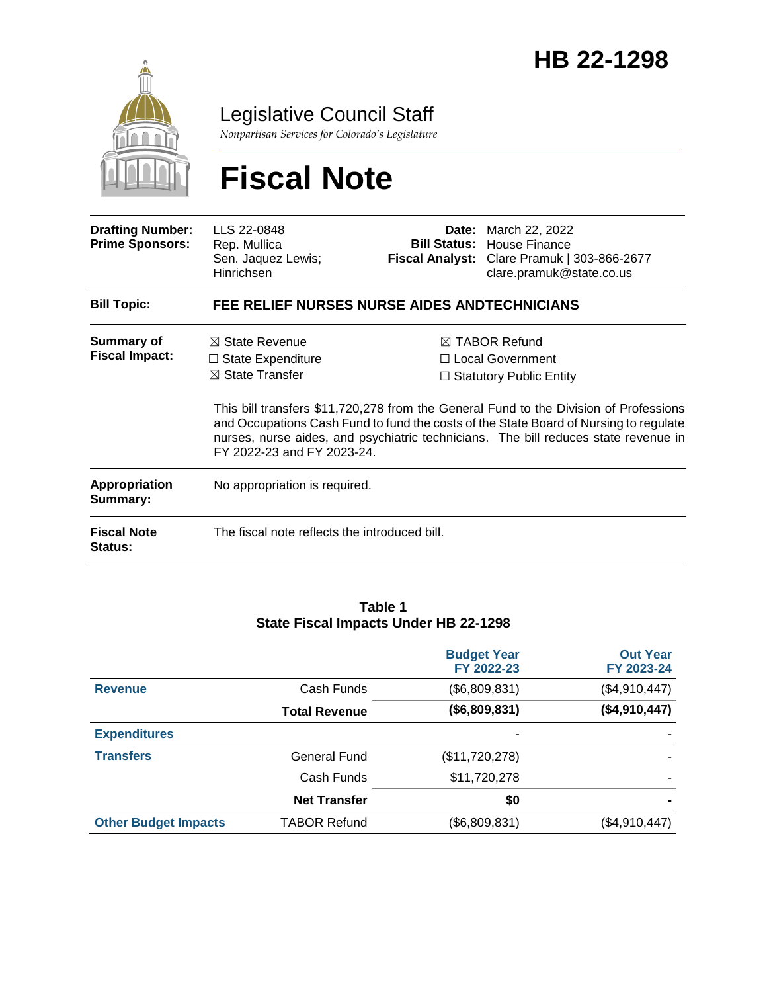

Legislative Council Staff

*Nonpartisan Services for Colorado's Legislature*

# **Fiscal Note**

| <b>Drafting Number:</b><br><b>Prime Sponsors:</b> | LLS 22-0848<br>Rep. Mullica<br>Sen. Jaquez Lewis;<br>Hinrichsen                                                   |  | Date: March 22, 2022<br><b>Bill Status: House Finance</b><br>Fiscal Analyst: Clare Pramuk   303-866-2677<br>clare.pramuk@state.co.us                                                                                                                                                                                                                      |  |
|---------------------------------------------------|-------------------------------------------------------------------------------------------------------------------|--|-----------------------------------------------------------------------------------------------------------------------------------------------------------------------------------------------------------------------------------------------------------------------------------------------------------------------------------------------------------|--|
| <b>Bill Topic:</b>                                | FEE RELIEF NURSES NURSE AIDES ANDTECHNICIANS                                                                      |  |                                                                                                                                                                                                                                                                                                                                                           |  |
| <b>Summary of</b><br><b>Fiscal Impact:</b>        | $\boxtimes$ State Revenue<br>$\Box$ State Expenditure<br>$\boxtimes$ State Transfer<br>FY 2022-23 and FY 2023-24. |  | $\boxtimes$ TABOR Refund<br>□ Local Government<br>$\Box$ Statutory Public Entity<br>This bill transfers \$11,720,278 from the General Fund to the Division of Professions<br>and Occupations Cash Fund to fund the costs of the State Board of Nursing to regulate<br>nurses, nurse aides, and psychiatric technicians. The bill reduces state revenue in |  |
| Appropriation<br>Summary:                         | No appropriation is required.                                                                                     |  |                                                                                                                                                                                                                                                                                                                                                           |  |
| <b>Fiscal Note</b><br><b>Status:</b>              | The fiscal note reflects the introduced bill.                                                                     |  |                                                                                                                                                                                                                                                                                                                                                           |  |

#### **Table 1 State Fiscal Impacts Under HB 22-1298**

|                             |                      | <b>Budget Year</b><br>FY 2022-23 | <b>Out Year</b><br>FY 2023-24 |
|-----------------------------|----------------------|----------------------------------|-------------------------------|
| <b>Revenue</b>              | Cash Funds           | (\$6,809,831)                    | (\$4,910,447)                 |
|                             | <b>Total Revenue</b> | (\$6,809,831)                    | (\$4,910,447)                 |
| <b>Expenditures</b>         |                      | ۰                                |                               |
| <b>Transfers</b>            | General Fund         | (\$11,720,278)                   |                               |
|                             | Cash Funds           | \$11,720,278                     |                               |
|                             | <b>Net Transfer</b>  | \$0                              |                               |
| <b>Other Budget Impacts</b> | <b>TABOR Refund</b>  | (\$6,809,831)                    | (\$4,910,447)                 |